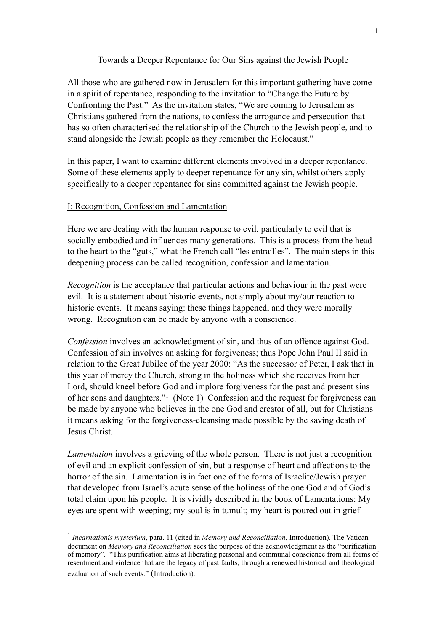## Towards a Deeper Repentance for Our Sins against the Jewish People

All those who are gathered now in Jerusalem for this important gathering have come in a spirit of repentance, responding to the invitation to "Change the Future by Confronting the Past." As the invitation states, "We are coming to Jerusalem as Christians gathered from the nations, to confess the arrogance and persecution that has so often characterised the relationship of the Church to the Jewish people, and to stand alongside the Jewish people as they remember the Holocaust."

In this paper, I want to examine different elements involved in a deeper repentance. Some of these elements apply to deeper repentance for any sin, whilst others apply specifically to a deeper repentance for sins committed against the Jewish people.

### I: Recognition, Confession and Lamentation

Here we are dealing with the human response to evil, particularly to evil that is socially embodied and influences many generations. This is a process from the head to the heart to the "guts," what the French call "les entrailles". The main steps in this deepening process can be called recognition, confession and lamentation.

*Recognition* is the acceptance that particular actions and behaviour in the past were evil. It is a statement about historic events, not simply about my/our reaction to historic events. It means saying: these things happened, and they were morally wrong. Recognition can be made by anyone with a conscience.

*Confession* involves an acknowledgment of sin, and thus of an offence against God. Confession of sin involves an asking for forgiveness; thus Pope John Paul II said in relation to the Great Jubilee of the year 2000: "As the successor of Peter, I ask that in this year of mercy the Church, strong in the holiness which she receives from her Lord, should kneel before God and implore forgiveness for the past and present sins of her sons and daughters."<sup>1</sup> (Note 1) Confession and the request for forgiveness can be made by anyone who believes in the one God and creator of all, but for Christians it means asking for the forgiveness-cleansing made possible by the saving death of Jesus Christ.

*Lamentation* involves a grieving of the whole person. There is not just a recognition of evil and an explicit confession of sin, but a response of heart and affections to the horror of the sin. Lamentation is in fact one of the forms of Israelite/Jewish prayer that developed from Israel's acute sense of the holiness of the one God and of God's total claim upon his people. It is vividly described in the book of Lamentations: My eyes are spent with weeping; my soul is in tumult; my heart is poured out in grief

<sup>&</sup>lt;sup>1</sup> Incarnationis mysterium, para. 11 (cited in *Memory and Reconciliation*, Introduction). The Vatican document on *Memory and Reconciliation* sees the purpose of this acknowledgment as the "purification of memory". "This purification aims at liberating personal and communal conscience from all forms of resentment and violence that are the legacy of past faults, through a renewed historical and theological evaluation of such events." (Introduction).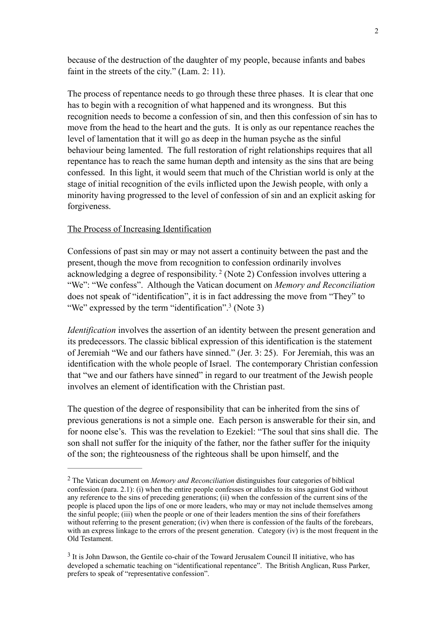because of the destruction of the daughter of my people, because infants and babes faint in the streets of the city." (Lam. 2: 11).

The process of repentance needs to go through these three phases. It is clear that one has to begin with a recognition of what happened and its wrongness. But this recognition needs to become a confession of sin, and then this confession of sin has to move from the head to the heart and the guts. It is only as our repentance reaches the level of lamentation that it will go as deep in the human psyche as the sinful behaviour being lamented. The full restoration of right relationships requires that all repentance has to reach the same human depth and intensity as the sins that are being confessed. In this light, it would seem that much of the Christian world is only at the stage of initial recognition of the evils inflicted upon the Jewish people, with only a minority having progressed to the level of confession of sin and an explicit asking for forgiveness.

## The Process of Increasing Identification

Confessions of past sin may or may not assert a continuity between the past and the present, though the move from recognition to confession ordinarily involves acknowledging a degree of responsibility.<sup>2</sup> (Note 2) Confession involves uttering a "We": "We confess". Although the Vatican document on *Memory and Reconciliation*  does not speak of "identification", it is in fact addressing the move from "They" to "We" expressed by the term "identification".<sup>3</sup> (Note 3)

*Identification* involves the assertion of an identity between the present generation and its predecessors. The classic biblical expression of this identification is the statement of Jeremiah "We and our fathers have sinned." (Jer. 3: 25). For Jeremiah, this was an identification with the whole people of Israel. The contemporary Christian confession that "we and our fathers have sinned" in regard to our treatment of the Jewish people involves an element of identification with the Christian past.

The question of the degree of responsibility that can be inherited from the sins of previous generations is not a simple one. Each person is answerable for their sin, and for noone else's. This was the revelation to Ezekiel: "The soul that sins shall die. The son shall not suffer for the iniquity of the father, nor the father suffer for the iniquity of the son; the righteousness of the righteous shall be upon himself, and the

The Vatican document on *Memory and Reconciliation* distinguishes four categories of biblical 2 confession (para. 2.1): (i) when the entire people confesses or alludes to its sins against God without any reference to the sins of preceding generations; (ii) when the confession of the current sins of the people is placed upon the lips of one or more leaders, who may or may not include themselves among the sinful people; (iii) when the people or one of their leaders mention the sins of their forefathers without referring to the present generation; (iv) when there is confession of the faults of the forebears. with an express linkage to the errors of the present generation. Category (iv) is the most frequent in the Old Testament.

<sup>&</sup>lt;sup>3</sup> It is John Dawson, the Gentile co-chair of the Toward Jerusalem Council II initiative, who has developed a schematic teaching on "identificational repentance". The British Anglican, Russ Parker, prefers to speak of "representative confession".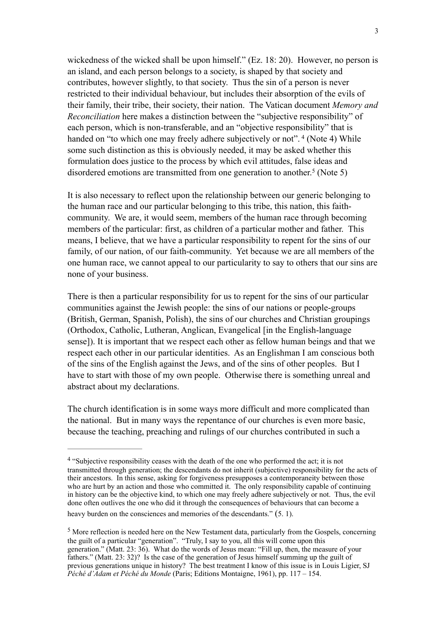wickedness of the wicked shall be upon himself." (Ez. 18: 20). However, no person is an island, and each person belongs to a society, is shaped by that society and contributes, however slightly, to that society. Thus the sin of a person is never restricted to their individual behaviour, but includes their absorption of the evils of their family, their tribe, their society, their nation. The Vatican document *Memory and Reconciliation* here makes a distinction between the "subjective responsibility" of each person, which is non-transferable, and an "objective responsibility" that is handed on "to which one may freely adhere subjectively or not".<sup>4</sup> (Note 4) While some such distinction as this is obviously needed, it may be asked whether this formulation does justice to the process by which evil attitudes, false ideas and disordered emotions are transmitted from one generation to another.<sup>5</sup> (Note 5)

It is also necessary to reflect upon the relationship between our generic belonging to the human race and our particular belonging to this tribe, this nation, this faithcommunity. We are, it would seem, members of the human race through becoming members of the particular: first, as children of a particular mother and father. This means, I believe, that we have a particular responsibility to repent for the sins of our family, of our nation, of our faith-community. Yet because we are all members of the one human race, we cannot appeal to our particularity to say to others that our sins are none of your business.

There is then a particular responsibility for us to repent for the sins of our particular communities against the Jewish people: the sins of our nations or people-groups (British, German, Spanish, Polish), the sins of our churches and Christian groupings (Orthodox, Catholic, Lutheran, Anglican, Evangelical [in the English-language sense]). It is important that we respect each other as fellow human beings and that we respect each other in our particular identities. As an Englishman I am conscious both of the sins of the English against the Jews, and of the sins of other peoples. But I have to start with those of my own people. Otherwise there is something unreal and abstract about my declarations.

The church identification is in some ways more difficult and more complicated than the national. But in many ways the repentance of our churches is even more basic, because the teaching, preaching and rulings of our churches contributed in such a

<sup>&</sup>lt;sup>4</sup> "Subjective responsibility ceases with the death of the one who performed the act; it is not transmitted through generation; the descendants do not inherit (subjective) responsibility for the acts of their ancestors. In this sense, asking for forgiveness presupposes a contemporaneity between those who are hurt by an action and those who committed it. The only responsibility capable of continuing in history can be the objective kind, to which one may freely adhere subjectively or not. Thus, the evil done often outlives the one who did it through the consequences of behaviours that can become a

heavy burden on the consciences and memories of the descendants." (5. 1).

<sup>&</sup>lt;sup>5</sup> More reflection is needed here on the New Testament data, particularly from the Gospels, concerning the guilt of a particular "generation". "Truly, I say to you, all this will come upon this generation." (Matt. 23: 36). What do the words of Jesus mean: "Fill up, then, the measure of your fathers." (Matt. 23: 32)? Is the case of the generation of Jesus himself summing up the guilt of previous generations unique in history? The best treatment I know of this issue is in Louis Ligier, SJ *Péché d'Adam et Péché du Monde* (Paris; Editions Montaigne, 1961), pp. 117 – 154.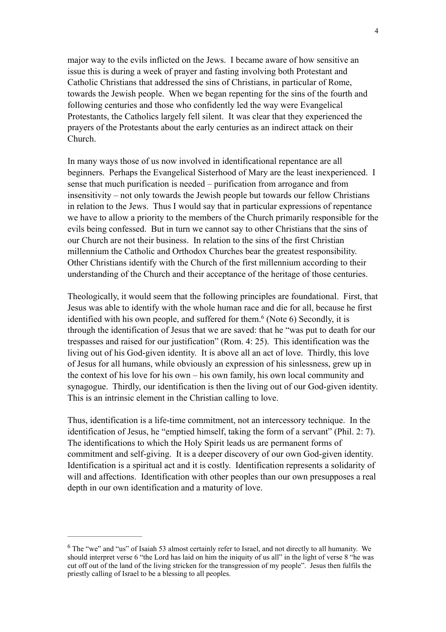major way to the evils inflicted on the Jews. I became aware of how sensitive an issue this is during a week of prayer and fasting involving both Protestant and Catholic Christians that addressed the sins of Christians, in particular of Rome, towards the Jewish people. When we began repenting for the sins of the fourth and following centuries and those who confidently led the way were Evangelical Protestants, the Catholics largely fell silent. It was clear that they experienced the prayers of the Protestants about the early centuries as an indirect attack on their Church.

In many ways those of us now involved in identificational repentance are all beginners. Perhaps the Evangelical Sisterhood of Mary are the least inexperienced. I sense that much purification is needed – purification from arrogance and from insensitivity – not only towards the Jewish people but towards our fellow Christians in relation to the Jews. Thus I would say that in particular expressions of repentance we have to allow a priority to the members of the Church primarily responsible for the evils being confessed. But in turn we cannot say to other Christians that the sins of our Church are not their business. In relation to the sins of the first Christian millennium the Catholic and Orthodox Churches bear the greatest responsibility. Other Christians identify with the Church of the first millennium according to their understanding of the Church and their acceptance of the heritage of those centuries.

Theologically, it would seem that the following principles are foundational. First, that Jesus was able to identify with the whole human race and die for all, because he first identified with his own people, and suffered for them.<sup> $6$ </sup> (Note 6) Secondly, it is through the identification of Jesus that we are saved: that he "was put to death for our trespasses and raised for our justification" (Rom. 4: 25). This identification was the living out of his God-given identity. It is above all an act of love. Thirdly, this love of Jesus for all humans, while obviously an expression of his sinlessness, grew up in the context of his love for his own – his own family, his own local community and synagogue. Thirdly, our identification is then the living out of our God-given identity. This is an intrinsic element in the Christian calling to love.

Thus, identification is a life-time commitment, not an intercessory technique. In the identification of Jesus, he "emptied himself, taking the form of a servant" (Phil. 2: 7). The identifications to which the Holy Spirit leads us are permanent forms of commitment and self-giving. It is a deeper discovery of our own God-given identity. Identification is a spiritual act and it is costly. Identification represents a solidarity of will and affections. Identification with other peoples than our own presupposes a real depth in our own identification and a maturity of love.

<sup>&</sup>lt;sup>6</sup> The "we" and "us" of Isaiah 53 almost certainly refer to Israel, and not directly to all humanity. We should interpret verse 6 "the Lord has laid on him the iniquity of us all" in the light of verse 8 "he was cut off out of the land of the living stricken for the transgression of my people". Jesus then fulfils the priestly calling of Israel to be a blessing to all peoples.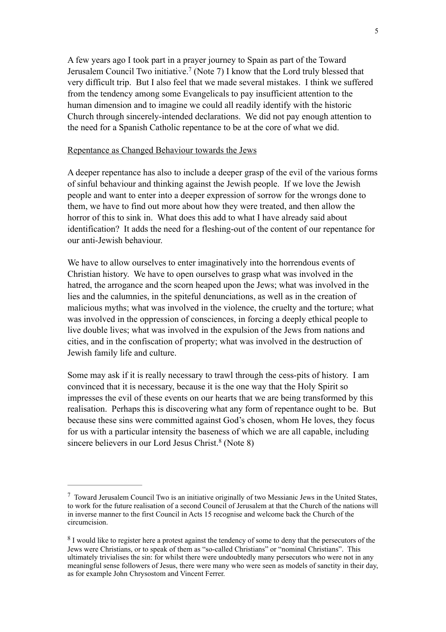A few years ago I took part in a prayer journey to Spain as part of the Toward Jerusalem Council Two initiative.<sup>7</sup> (Note 7) I know that the Lord truly blessed that very difficult trip. But I also feel that we made several mistakes. I think we suffered from the tendency among some Evangelicals to pay insufficient attention to the human dimension and to imagine we could all readily identify with the historic Church through sincerely-intended declarations. We did not pay enough attention to the need for a Spanish Catholic repentance to be at the core of what we did.

### Repentance as Changed Behaviour towards the Jews

A deeper repentance has also to include a deeper grasp of the evil of the various forms of sinful behaviour and thinking against the Jewish people. If we love the Jewish people and want to enter into a deeper expression of sorrow for the wrongs done to them, we have to find out more about how they were treated, and then allow the horror of this to sink in. What does this add to what I have already said about identification? It adds the need for a fleshing-out of the content of our repentance for our anti-Jewish behaviour.

We have to allow ourselves to enter imaginatively into the horrendous events of Christian history. We have to open ourselves to grasp what was involved in the hatred, the arrogance and the scorn heaped upon the Jews; what was involved in the lies and the calumnies, in the spiteful denunciations, as well as in the creation of malicious myths; what was involved in the violence, the cruelty and the torture; what was involved in the oppression of consciences, in forcing a deeply ethical people to live double lives; what was involved in the expulsion of the Jews from nations and cities, and in the confiscation of property; what was involved in the destruction of Jewish family life and culture.

Some may ask if it is really necessary to trawl through the cess-pits of history. I am convinced that it is necessary, because it is the one way that the Holy Spirit so impresses the evil of these events on our hearts that we are being transformed by this realisation. Perhaps this is discovering what any form of repentance ought to be. But because these sins were committed against God's chosen, whom He loves, they focus for us with a particular intensity the baseness of which we are all capable, including sincere believers in our Lord Jesus Christ. $8$  (Note 8)

Toward Jerusalem Council Two is an initiative originally of two Messianic Jews in the United States, 7 to work for the future realisation of a second Council of Jerusalem at that the Church of the nations will in inverse manner to the first Council in Acts 15 recognise and welcome back the Church of the circumcision.

<sup>&</sup>lt;sup>8</sup> I would like to register here a protest against the tendency of some to deny that the persecutors of the Jews were Christians, or to speak of them as "so-called Christians" or "nominal Christians". This ultimately trivialises the sin: for whilst there were undoubtedly many persecutors who were not in any meaningful sense followers of Jesus, there were many who were seen as models of sanctity in their day, as for example John Chrysostom and Vincent Ferrer.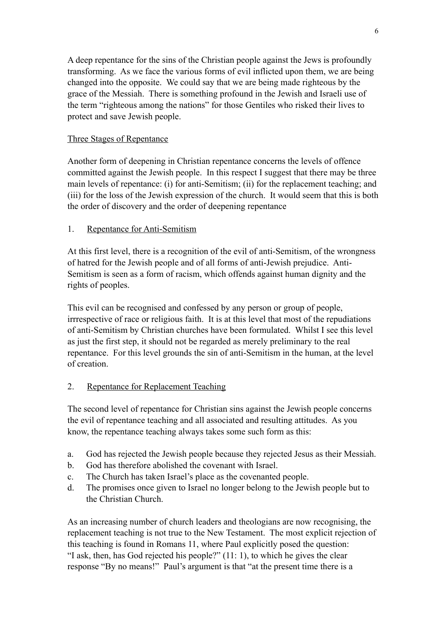A deep repentance for the sins of the Christian people against the Jews is profoundly transforming. As we face the various forms of evil inflicted upon them, we are being changed into the opposite. We could say that we are being made righteous by the grace of the Messiah. There is something profound in the Jewish and Israeli use of the term "righteous among the nations" for those Gentiles who risked their lives to protect and save Jewish people.

# Three Stages of Repentance

Another form of deepening in Christian repentance concerns the levels of offence committed against the Jewish people. In this respect I suggest that there may be three main levels of repentance: (i) for anti-Semitism; (ii) for the replacement teaching; and (iii) for the loss of the Jewish expression of the church. It would seem that this is both the order of discovery and the order of deepening repentance

# 1. Repentance for Anti-Semitism

At this first level, there is a recognition of the evil of anti-Semitism, of the wrongness of hatred for the Jewish people and of all forms of anti-Jewish prejudice. Anti-Semitism is seen as a form of racism, which offends against human dignity and the rights of peoples.

This evil can be recognised and confessed by any person or group of people, irrrespective of race or religious faith. It is at this level that most of the repudiations of anti-Semitism by Christian churches have been formulated. Whilst I see this level as just the first step, it should not be regarded as merely preliminary to the real repentance. For this level grounds the sin of anti-Semitism in the human, at the level of creation.

# 2. Repentance for Replacement Teaching

The second level of repentance for Christian sins against the Jewish people concerns the evil of repentance teaching and all associated and resulting attitudes. As you know, the repentance teaching always takes some such form as this:

- a. God has rejected the Jewish people because they rejected Jesus as their Messiah.
- b. God has therefore abolished the covenant with Israel.
- c. The Church has taken Israel's place as the covenanted people.
- d. The promises once given to Israel no longer belong to the Jewish people but to the Christian Church.

As an increasing number of church leaders and theologians are now recognising, the replacement teaching is not true to the New Testament. The most explicit rejection of this teaching is found in Romans 11, where Paul explicitly posed the question: "I ask, then, has God rejected his people?" (11: 1), to which he gives the clear response "By no means!" Paul's argument is that "at the present time there is a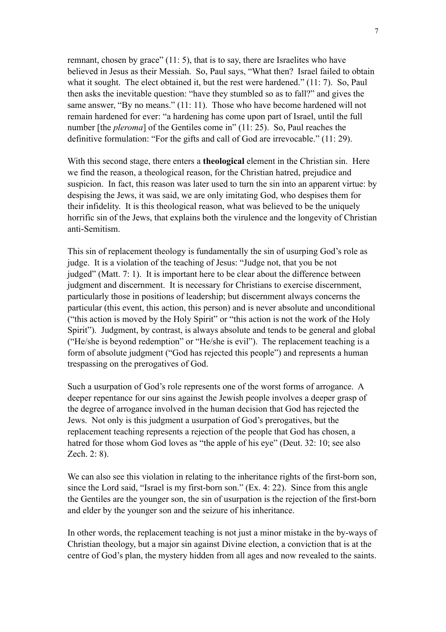remnant, chosen by grace" (11: 5), that is to say, there are Israelites who have believed in Jesus as their Messiah. So, Paul says, "What then? Israel failed to obtain what it sought. The elect obtained it, but the rest were hardened." (11: 7). So, Paul then asks the inevitable question: "have they stumbled so as to fall?" and gives the same answer, "By no means." (11: 11). Those who have become hardened will not remain hardened for ever: "a hardening has come upon part of Israel, until the full number [the *pleroma*] of the Gentiles come in" (11: 25). So, Paul reaches the definitive formulation: "For the gifts and call of God are irrevocable." (11: 29).

With this second stage, there enters a **theological** element in the Christian sin. Here we find the reason, a theological reason, for the Christian hatred, prejudice and suspicion. In fact, this reason was later used to turn the sin into an apparent virtue: by despising the Jews, it was said, we are only imitating God, who despises them for their infidelity. It is this theological reason, what was believed to be the uniquely horrific sin of the Jews, that explains both the virulence and the longevity of Christian anti-Semitism.

This sin of replacement theology is fundamentally the sin of usurping God's role as judge. It is a violation of the teaching of Jesus: "Judge not, that you be not judged" (Matt. 7: 1). It is important here to be clear about the difference between judgment and discernment. It is necessary for Christians to exercise discernment, particularly those in positions of leadership; but discernment always concerns the particular (this event, this action, this person) and is never absolute and unconditional ("this action is moved by the Holy Spirit" or "this action is not the work of the Holy Spirit"). Judgment, by contrast, is always absolute and tends to be general and global ("He/she is beyond redemption" or "He/she is evil"). The replacement teaching is a form of absolute judgment ("God has rejected this people") and represents a human trespassing on the prerogatives of God.

Such a usurpation of God's role represents one of the worst forms of arrogance. A deeper repentance for our sins against the Jewish people involves a deeper grasp of the degree of arrogance involved in the human decision that God has rejected the Jews. Not only is this judgment a usurpation of God's prerogatives, but the replacement teaching represents a rejection of the people that God has chosen, a hatred for those whom God loves as "the apple of his eye" (Deut. 32: 10; see also Zech. 2: 8).

We can also see this violation in relating to the inheritance rights of the first-born son, since the Lord said, "Israel is my first-born son." (Ex. 4: 22). Since from this angle the Gentiles are the younger son, the sin of usurpation is the rejection of the first-born and elder by the younger son and the seizure of his inheritance.

In other words, the replacement teaching is not just a minor mistake in the by-ways of Christian theology, but a major sin against Divine election, a conviction that is at the centre of God's plan, the mystery hidden from all ages and now revealed to the saints.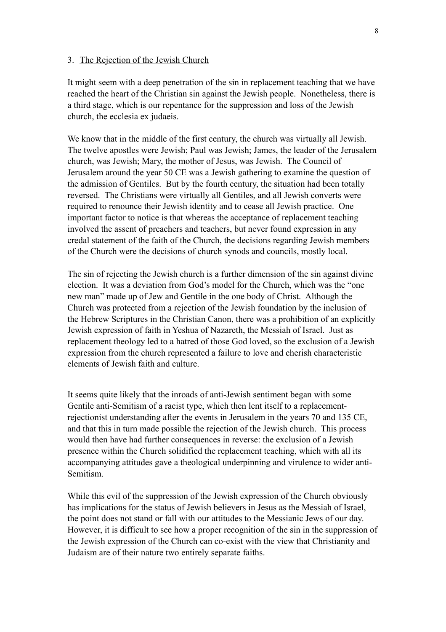#### 3. The Rejection of the Jewish Church

It might seem with a deep penetration of the sin in replacement teaching that we have reached the heart of the Christian sin against the Jewish people. Nonetheless, there is a third stage, which is our repentance for the suppression and loss of the Jewish church, the ecclesia ex judaeis.

We know that in the middle of the first century, the church was virtually all Jewish. The twelve apostles were Jewish; Paul was Jewish; James, the leader of the Jerusalem church, was Jewish; Mary, the mother of Jesus, was Jewish. The Council of Jerusalem around the year 50 CE was a Jewish gathering to examine the question of the admission of Gentiles. But by the fourth century, the situation had been totally reversed. The Christians were virtually all Gentiles, and all Jewish converts were required to renounce their Jewish identity and to cease all Jewish practice. One important factor to notice is that whereas the acceptance of replacement teaching involved the assent of preachers and teachers, but never found expression in any credal statement of the faith of the Church, the decisions regarding Jewish members of the Church were the decisions of church synods and councils, mostly local.

The sin of rejecting the Jewish church is a further dimension of the sin against divine election. It was a deviation from God's model for the Church, which was the "one new man" made up of Jew and Gentile in the one body of Christ. Although the Church was protected from a rejection of the Jewish foundation by the inclusion of the Hebrew Scriptures in the Christian Canon, there was a prohibition of an explicitly Jewish expression of faith in Yeshua of Nazareth, the Messiah of Israel. Just as replacement theology led to a hatred of those God loved, so the exclusion of a Jewish expression from the church represented a failure to love and cherish characteristic elements of Jewish faith and culture.

It seems quite likely that the inroads of anti-Jewish sentiment began with some Gentile anti-Semitism of a racist type, which then lent itself to a replacementrejectionist understanding after the events in Jerusalem in the years 70 and 135 CE, and that this in turn made possible the rejection of the Jewish church. This process would then have had further consequences in reverse: the exclusion of a Jewish presence within the Church solidified the replacement teaching, which with all its accompanying attitudes gave a theological underpinning and virulence to wider anti-Semitism.

While this evil of the suppression of the Jewish expression of the Church obviously has implications for the status of Jewish believers in Jesus as the Messiah of Israel, the point does not stand or fall with our attitudes to the Messianic Jews of our day. However, it is difficult to see how a proper recognition of the sin in the suppression of the Jewish expression of the Church can co-exist with the view that Christianity and Judaism are of their nature two entirely separate faiths.